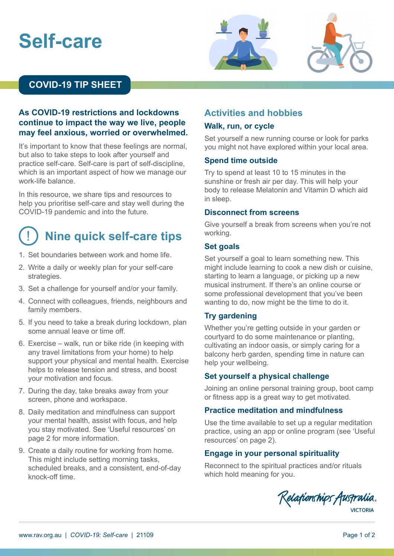# **Self-care**





### **COVID-19 TIP SHEET**

#### **As COVID-19 restrictions and lockdowns continue to impact the way we live, people may feel anxious, worried or overwhelmed.**

It's important to know that these feelings are normal, but also to take steps to look after yourself and practice self-care. Self-care is part of self-discipline, which is an important aspect of how we manage our work-life balance.

In this resource, we share tips and resources to help you prioritise self-care and stay well during the COVID-19 pandemic and into the future.

# ! **Nine quick self-care tips**

- 1. Set boundaries between work and home life.
- 2. Write a daily or weekly plan for your self-care strategies.
- 3. Set a challenge for yourself and/or your family.
- 4. Connect with colleagues, friends, neighbours and family members.
- 5. If you need to take a break during lockdown, plan some annual leave or time off.
- 6. Exercise walk, run or bike ride (in keeping with any travel limitations from your home) to help support your physical and mental health. Exercise helps to release tension and stress, and boost your motivation and focus.
- 7. During the day, take breaks away from your screen, phone and workspace.
- 8. Daily meditation and mindfulness can support your mental health, assist with focus, and help you stay motivated. See 'Useful resources' on page 2 for more information.
- 9. Create a daily routine for working from home. This might include setting morning tasks, scheduled breaks, and a consistent, end-of-day knock-off time.

#### **Activities and hobbies Walk, run, or cycle**

Set yourself a new running course or look for parks you might not have explored within your local area.

#### **Spend time outside**

Try to spend at least 10 to 15 minutes in the sunshine or fresh air per day. This will help your body to release Melatonin and Vitamin D which aid in sleep.

#### **Disconnect from screens**

Give yourself a break from screens when you're not working.

#### **Set goals**

Set yourself a goal to learn something new. This might include learning to cook a new dish or cuisine, starting to learn a language, or picking up a new musical instrument. If there's an online course or some professional development that you've been wanting to do, now might be the time to do it.

#### **Try gardening**

Whether you're getting outside in your garden or courtyard to do some maintenance or planting, cultivating an indoor oasis, or simply caring for a balcony herb garden, spending time in nature can help your wellbeing.

#### **Set yourself a physical challenge**

Joining an online personal training group, boot camp or fitness app is a great way to get motivated.

#### **Practice meditation and mindfulness**

Use the time available to set up a regular meditation practice, using an app or online program (see 'Useful resources' on page 2).

#### **Engage in your personal spirituality**

Reconnect to the spiritual practices and/or rituals which hold meaning for you.

Relationships Australia